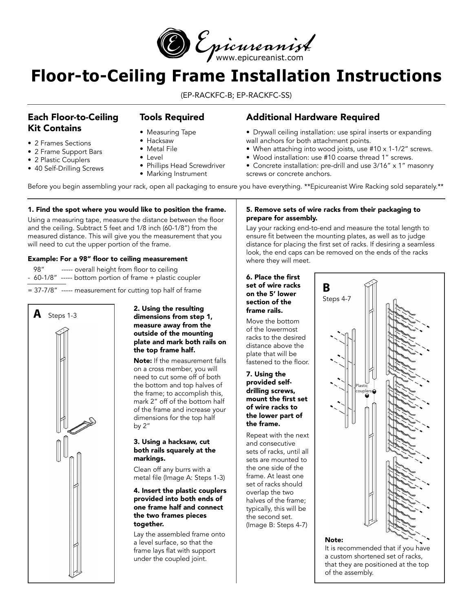

# **Floor-to-Ceiling Frame Installation Instructions**

(EP-RACKFC-B; EP-RACKFC-SS)

# Each Floor-to-Ceiling Kit Contains

## Tools Required

• 2 Frames Sections • 2 Frame Support Bars

• 2 Plastic Couplers

- Measuring Tape • Hacksaw
- Metal File
- Level
- 40 Self-Drilling Screws • Phillips Head Screwdriver
	- Marking Instrument

# Additional Hardware Required

- Drywall ceiling installation: use spiral inserts or expanding wall anchors for both attachment points.
- When attaching into wood joists, use #10 x 1-1/2" screws.
- Wood installation: use #10 coarse thread 1" screws.
- Concrete installation: pre-drill and use 3/16" x 1" masonry screws or concrete anchors.

Before you begin assembling your rack, open all packaging to ensure you have everything. \*\*Epicureanist Wire Racking sold separately.\*\*

### 1. Find the spot where you would like to position the frame.

Using a measuring tape, measure the distance between the floor and the ceiling. Subtract 5 feet and 1/8 inch (60-1/8") from the measured distance. This will give you the measurement that you will need to cut the upper portion of the frame.

## Example: For a 98" floor to ceiling measurement

- 98" ----- overall height from floor to ceiling
- 60-1/8" ----- bottom portion of frame + plastic coupler

= 37-7/8" ----- measurement for cutting top half of frame



#### 2. Using the resulting dimensions from step 1, measure away from the outside of the mounting plate and mark both rails on the top frame half.

Note: If the measurement falls on a cross member, you will need to cut some off of both the bottom and top halves of the frame; to accomplish this, mark 2" off of the bottom half of the frame and increase your dimensions for the top half by 2"

#### 3. Using a hacksaw, cut both rails squarely at the markings.

Clean off any burrs with a metal file (Image A: Steps 1-3)

#### 4. Insert the plastic couplers provided into both ends of one frame half and connect the two frames pieces together.

Lay the assembled frame onto a level surface, so that the frame lays flat with support under the coupled joint.

## 5. Remove sets of wire racks from their packaging to prepare for assembly.

Lay your racking end-to-end and measure the total length to ensure fit between the mounting plates, as well as to judge distance for placing the first set of racks. If desiring a seamless look, the end caps can be removed on the ends of the racks where they will meet.

#### 6. Place the first set of wire racks on the 5' lower section of the frame rails.

Move the bottom of the lowermost racks to the desired distance above the plate that will be fastened to the floor.

7. Using the provided selfdrilling screws, mount the first set of wire racks to the lower part of the frame.

Repeat with the next and consecutive sets of racks, until all sets are mounted to the one side of the frame. At least one set of racks should overlap the two halves of the frame; typically, this will be the second set. (Image B: Steps 4-7)



#### Note:

It is recommended that if you have a custom shortened set of racks, that they are positioned at the top of the assembly.